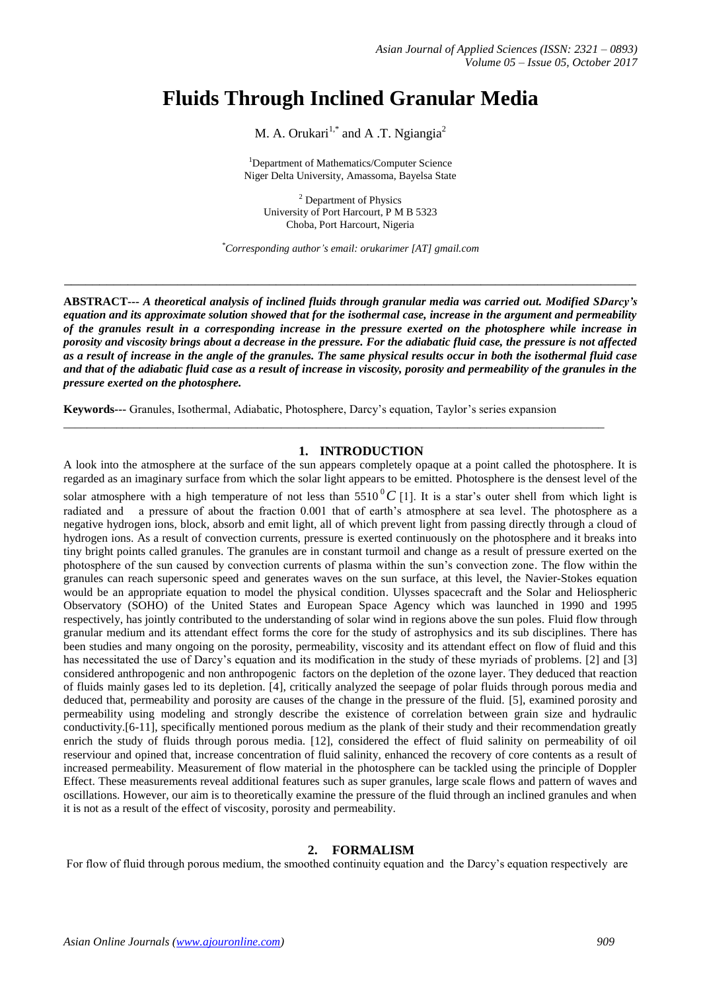# **Fluids Through Inclined Granular Media**

M. A. Orukari<sup>1,\*</sup> and A .T. Ngiangia<sup>2</sup>

<sup>1</sup>Department of Mathematics/Computer Science Niger Delta University, Amassoma, Bayelsa State

<sup>2</sup> Department of Physics University of Port Harcourt, P M B 5323 Choba, Port Harcourt, Nigeria

*\*Corresponding author's email: orukarimer [AT] gmail.com*

\_\_\_\_\_\_\_\_\_\_\_\_\_\_\_\_\_\_\_\_\_\_\_\_\_\_\_\_\_\_\_\_\_\_\_\_\_\_\_\_\_\_\_\_\_\_\_\_\_\_\_\_\_\_\_\_\_\_\_\_\_\_\_\_\_\_\_\_\_\_\_\_\_\_\_\_\_\_\_\_\_

**ABSTRACT---** *A theoretical analysis of inclined fluids through granular media was carried out. Modified SDarcy's equation and its approximate solution showed that for the isothermal case, increase in the argument and permeability of the granules result in a corresponding increase in the pressure exerted on the photosphere while increase in porosity and viscosity brings about a decrease in the pressure. For the adiabatic fluid case, the pressure is not affected as a result of increase in the angle of the granules. The same physical results occur in both the isothermal fluid case and that of the adiabatic fluid case as a result of increase in viscosity, porosity and permeability of the granules in the pressure exerted on the photosphere.*

**Keywords---** Granules, Isothermal, Adiabatic, Photosphere, Darcy's equation, Taylor's series expansion

\_\_\_\_\_\_\_\_\_\_\_\_\_\_\_\_\_\_\_\_\_\_\_\_\_\_\_\_\_\_\_\_\_\_\_\_\_\_\_\_\_\_\_\_\_\_\_\_\_\_\_\_\_\_\_\_\_\_\_\_\_\_\_\_\_\_\_\_\_\_\_\_\_\_\_\_\_\_\_\_\_\_\_\_\_\_\_\_\_\_\_\_

### **1. INTRODUCTION**

A look into the atmosphere at the surface of the sun appears completely opaque at a point called the photosphere. It is regarded as an imaginary surface from which the solar light appears to be emitted. Photosphere is the densest level of the

solar atmosphere with a high temperature of not less than  $5510^{\circ}C$  [1]. It is a star's outer shell from which light is radiated and a pressure of about the fraction 0.001 that of earth's atmosphere at sea level. The photosphere as a negative hydrogen ions, block, absorb and emit light, all of which prevent light from passing directly through a cloud of hydrogen ions. As a result of convection currents, pressure is exerted continuously on the photosphere and it breaks into tiny bright points called granules. The granules are in constant turmoil and change as a result of pressure exerted on the photosphere of the sun caused by convection currents of plasma within the sun's convection zone. The flow within the granules can reach supersonic speed and generates waves on the sun surface, at this level, the Navier-Stokes equation would be an appropriate equation to model the physical condition. Ulysses spacecraft and the Solar and Heliospheric Observatory (SOHO) of the United States and European Space Agency which was launched in 1990 and 1995 respectively, has jointly contributed to the understanding of solar wind in regions above the sun poles. Fluid flow through granular medium and its attendant effect forms the core for the study of astrophysics and its sub disciplines. There has been studies and many ongoing on the porosity, permeability, viscosity and its attendant effect on flow of fluid and this has necessitated the use of Darcy's equation and its modification in the study of these myriads of problems. [2] and [3] considered anthropogenic and non anthropogenic factors on the depletion of the ozone layer. They deduced that reaction of fluids mainly gases led to its depletion. [4], critically analyzed the seepage of polar fluids through porous media and deduced that, permeability and porosity are causes of the change in the pressure of the fluid. [5], examined porosity and permeability using modeling and strongly describe the existence of correlation between grain size and hydraulic conductivity.[6-11], specifically mentioned porous medium as the plank of their study and their recommendation greatly enrich the study of fluids through porous media. [12], considered the effect of fluid salinity on permeability of oil reserviour and opined that, increase concentration of fluid salinity, enhanced the recovery of core contents as a result of increased permeability. Measurement of flow material in the photosphere can be tackled using the principle of Doppler Effect. These measurements reveal additional features such as super granules, large scale flows and pattern of waves and oscillations. However, our aim is to theoretically examine the pressure of the fluid through an inclined granules and when it is not as a result of the effect of viscosity, porosity and permeability.

## **2. FORMALISM**

For flow of fluid through porous medium, the smoothed continuity equation and the Darcy's equation respectively are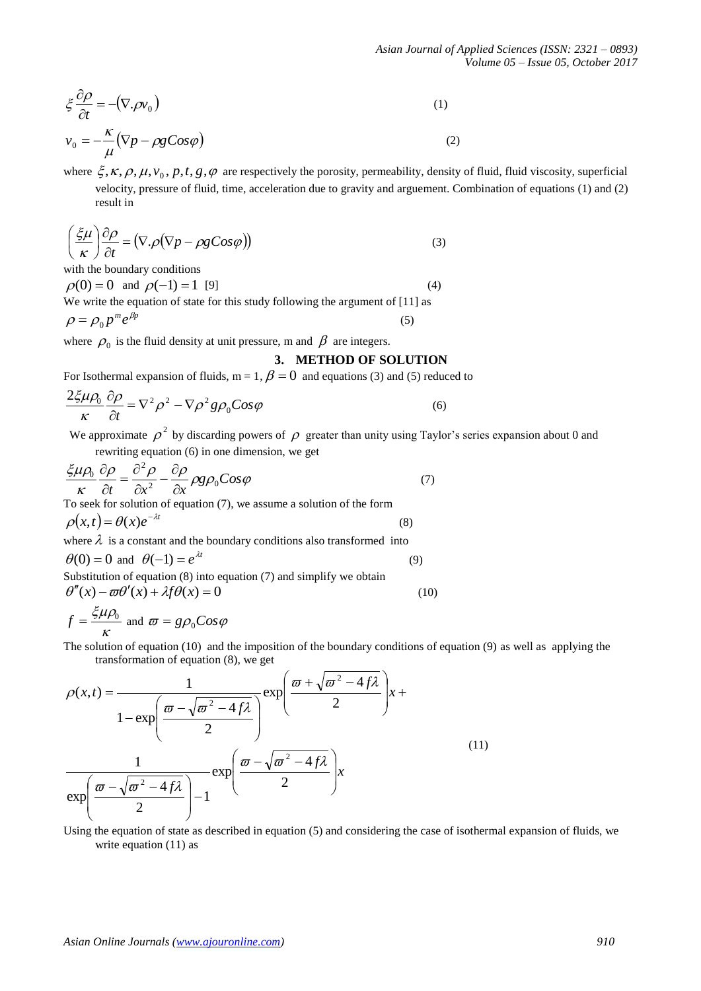*Asian Journal of Applied Sciences (ISSN: 2321 – 0893) Volume 05 – Issue 05, October 2017*

$$
\xi \frac{\partial \rho}{\partial t} = -(\nabla \cdot \rho v_0) \tag{1}
$$

$$
v_0 = -\frac{\kappa}{\mu} (\nabla p - \rho g \cos \varphi)
$$
 (2)

where  $\xi, \kappa, \rho, \mu, v_0, p, t, g, \varphi$  are respectively the porosity, permeability, density of fluid, fluid viscosity, superficial velocity, pressure of fluid, time, acceleration due to gravity and arguement. Combination of equations (1) and (2) result in

$$
\left(\frac{\xi\mu}{\kappa}\right)\frac{\partial\rho}{\partial t} = \left(\nabla.\rho(\nabla p - \rho g \cos\varphi)\right)
$$
\n(3)

with the boundary conditions

 $\rho(0) = 0$  and  $\rho(-1) = 1$  [9] (4) We write the equation of state for this study following the argument of [11] as  $\rho = \rho_0 p^m e^{\beta p}$ (5)

where  $\rho_0$  is the fluid density at unit pressure, m and  $\beta$  are integers.

# **3. METHOD OF SOLUTION**

For Isothermal expansion of fluids,  $m = 1$ ,  $\beta = 0$  and equations (3) and (5) reduced to

$$
\frac{2\xi\mu\rho_0}{\kappa}\frac{\partial\rho}{\partial t} = \nabla^2\rho^2 - \nabla\rho^2 g\rho_0 \cos\varphi
$$
\n(6)

We approximate  $\rho^2$  by discarding powers of  $\rho$  greater than unity using Taylor's series expansion about 0 and rewriting equation (6) in one dimension, we get

$$
\frac{\xi \mu \rho_0}{\kappa} \frac{\partial \rho}{\partial t} = \frac{\partial^2 \rho}{\partial x^2} - \frac{\partial \rho}{\partial x} \rho g \rho_0 \cos \varphi
$$
 (7)  
To seek for solution of equation (7), we assume a solution of the form  

$$
\rho(x,t) = \theta(x)e^{-\lambda t}
$$
 (8)  
where  $\lambda$  is a constant and the boundary conditions also transformed into  
 $\theta(0) = 0$  and  $\theta(-1) = e^{\lambda t}$  (9)

Substitution of equation (8) into equation (7) and simplify we obtain  $\theta''(x) - \omega \theta'(x) + \lambda f \theta(x) = 0$  (10)

$$
f = \frac{\xi \mu \rho_0}{\kappa}
$$
 and  $\varpi = g \rho_0 C \omega \varphi$ 

The solution of equation (10) and the imposition of the boundary conditions of equation (9) as well as applying the transformation of equation (8), we get

$$
\xi^2 \frac{\partial^2 f}{\partial t} = -(\nabla_x \rho v_0)
$$
\n(1)  
\n $v_0 = -\frac{K}{\mu} (\nabla \rho - \rho g \cos \rho)$ \n(2)  
\nwhere  $\xi$ ,  $\kappa$ ,  $\rho$ ,  $\mu$ ,  $v_0$ ,  $p$ ,  $t$ ,  $g$ ,  $\phi$  are respectively the porosity, permeability, density of fluid, fluid viscosity, superf  
\n $\phi$  velocity, pressure of fluid, time, acceleration due to gravity and argument. Combination of equations (1) and  
\nresult in  
\n $(\frac{\xi \mu}{\kappa}) \frac{\partial \rho}{\partial t} = (\nabla_x \rho (\nabla \rho - \rho g \cos \rho))$ \n(3)  
\nwith the boundary conditions  
\n $\rho(0) = 0$  and  $\rho(-1) = 1$  [9]  
\n $\rho = \rho_0 p^2 e^{\rho R}$   
\nwhere  $\rho_0$  is the fluid density at unit pressure, m and  $\beta$  are integers.  
\n3. **METHOD OF SOLUTION**  
\nFor biothermal expansion of fluid, m = 1,  $\beta = 0$  and equations (3) and (5) reduced to  
\n $\frac{2\xi \mu \rho_0}{\kappa} \frac{\partial \rho}{\partial t} = \nabla^2 \rho^2 - \nabla \rho^2 g \rho_0 \cos \rho$   
\nWe approximate  $\rho^2$  by discarifying powers of  $\rho$  greater than unity using Taylor's series expansion about 0 and  
\nrevustruting equation (6) in one dimension, we get  
\n $\frac{\xi \mu \rho_0}{\kappa}$  and  $\frac{\partial \rho}{\partial t} = 0$  and equation (7), we assume a solution of the form  
\n $\rho(x, t) = \theta(x)e^{-2t}$   
\nTo seek for solution of equation (7), we assume a solution of the form  
\n $\rho(x, t) = \theta(x)e^{-2t}$   
\nTo solve (1) in equation (7) and simplify we obtain  
\n(9)  
\n $\theta(0) = 0$  and  $\theta(-1) = e^{\lambda t}$   
\n $\frac{\kappa}{\kappa}$  and  $\theta = g\rho_0 \cos \varphi$   
\nThe solution of equation (8), we get  
\n $\rho(x, t) = \frac{\$ 

Using the equation of state as described in equation (5) and considering the case of isothermal expansion of fluids, we write equation (11) as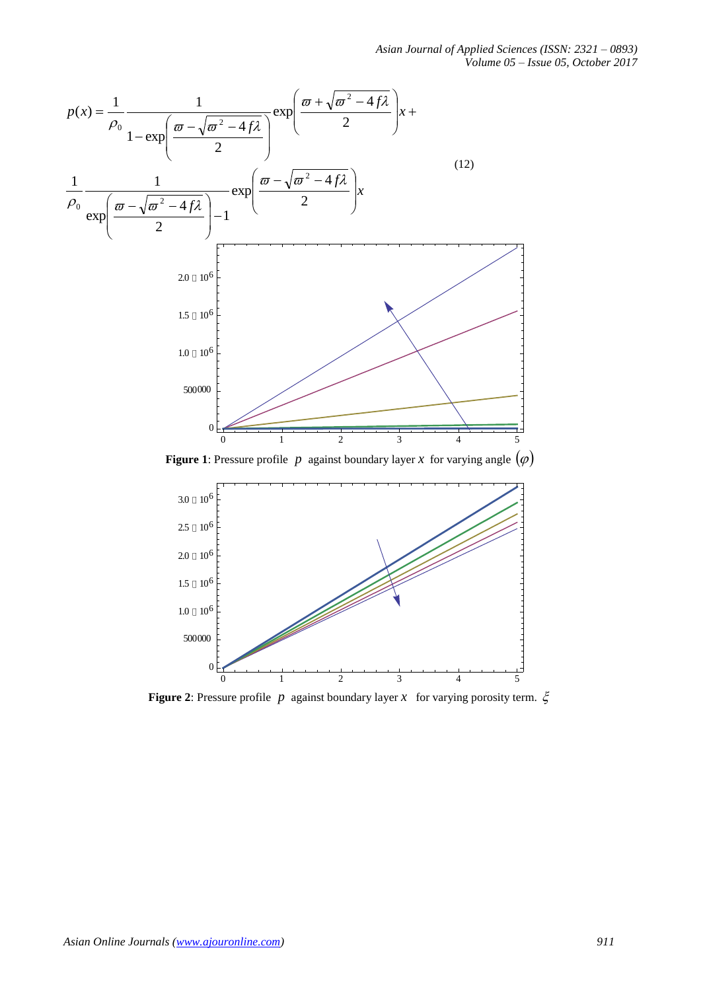*Asian Journal of Applied Sciences (ISSN: 2321 – 0893) Volume 05 – Issue 05, October 2017*



**Figure 1**: Pressure profile p against boundary layer x for varying angle  $(\varphi)$ 



**Figure 2**: Pressure profile  $p$  against boundary layer  $x$  for varying porosity term.  $\xi$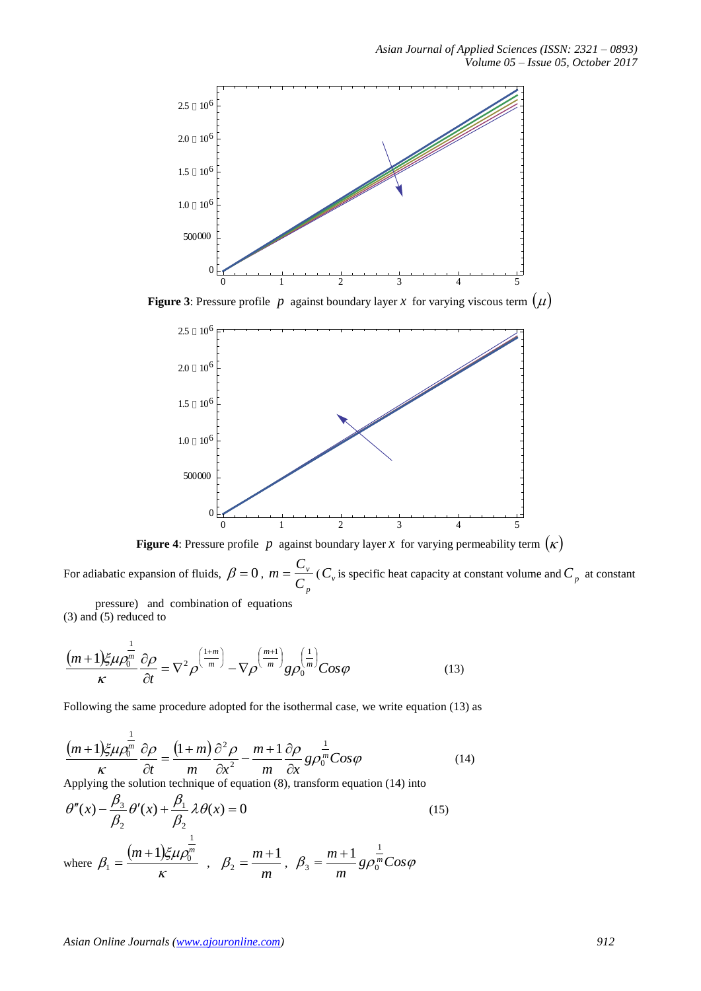

**Figure 3**: Pressure profile p against boundary layer x for varying viscous term  $(\mu)$ 



**Figure 4**: Pressure profile p against boundary layer x for varying permeability term  $(\kappa)$ 

For adiabatic expansion of fluids,  $\beta = 0$ , *p v C*  $m = \frac{C_v}{C_v}$  ( $C_v$  is specific heat capacity at constant volume and  $C_p$  at constant

pressure) and combination of equations (3) and (5) reduced to

$$
\frac{\left(m+1\right)\xi\mu\rho_0^{\frac{1}{m}}}{\kappa}\frac{\partial\rho}{\partial t} = \nabla^2\rho^{\left(\frac{1+m}{m}\right)} - \nabla\rho^{\left(\frac{m+1}{m}\right)}g\rho_0^{\left(\frac{1}{m}\right)}\cos\varphi\tag{13}
$$

Following the same procedure adopted for the isothermal case, we write equation (13) as

$$
\frac{(m+1)\xi\mu\rho_0^{\frac{1}{m}}}{\kappa} \frac{\partial\rho}{\partial t} = \frac{(1+m)}{m} \frac{\partial^2\rho}{\partial x^2} - \frac{m+1}{m} \frac{\partial\rho}{\partial x} g\rho_0^{\frac{1}{m}} Cos\varphi \tag{14}
$$

Applying the solution technique of equation (8), transform equation (14) into

$$
\theta''(x) - \frac{\beta_3}{\beta_2} \theta'(x) + \frac{\beta_1}{\beta_2} \lambda \theta(x) = 0
$$
\n(15)

where  $\beta_1 = \frac{(m+1)g}{n}$ к  $\xi\mu\rho_0$  $\beta_{\scriptscriptstyle 1}$  $(m+1)$  $\xi \mu \rho_0^m$ 1  $\boldsymbol{0}$ 1  $=\frac{(m+1)\xi\mu\rho_0^m}{m}$ , *m*  $m+1$ 2  $\beta_2 = \frac{m+1}{m}$ ,  $\beta_3 = \frac{m+1}{m} g \rho_0^{\frac{1}{m}} C \cos \varphi$ *m*  $m+1$ <sup>1</sup> 1  $3 - 8P_0$  $=\frac{m+1}{m+1}$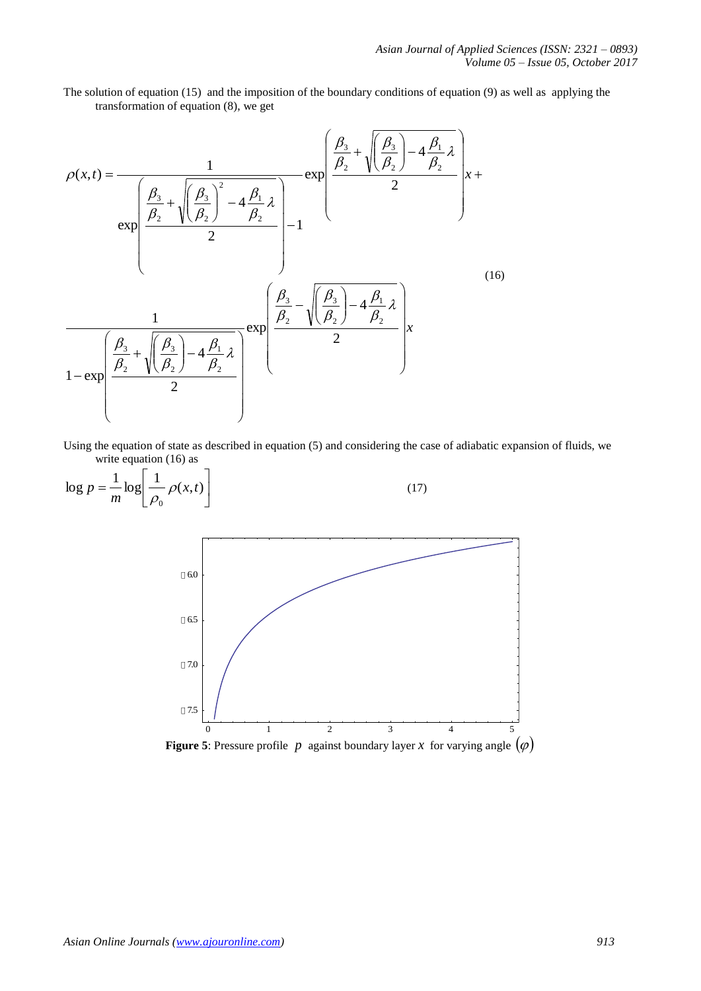The solution of equation (15) and the imposition of the boundary conditions of equation (9) as well as applying the transformation of equation (8), we get

$$
\rho(x,t) = \frac{1}{\exp\left(\frac{\beta_3}{\beta_2} + \sqrt{\left(\frac{\beta_3}{\beta_2}\right)^2 - 4\frac{\beta_1}{\beta_2}\lambda}\right)} - 4\frac{\exp\left(\frac{\beta_3}{\beta_2} + \sqrt{\left(\frac{\beta_3}{\beta_2}\right) - 4\frac{\beta_1}{\beta_2}\lambda}\right)}{2} + \frac{2}{\exp\left(\frac{\beta_3}{\beta_2} - \sqrt{\left(\frac{\beta_3}{\beta_2}\right) - 4\frac{\beta_1}{\beta_2}\lambda}\right)} - 1
$$
\n(16)\n  
\n
$$
\frac{1}{1 - \exp\left(\frac{\beta_3}{\beta_2} + \sqrt{\left(\frac{\beta_3}{\beta_2}\right) - 4\frac{\beta_1}{\beta_2}\lambda}\right)} - 4\frac{\beta_3}{\beta_2} - \sqrt{\left(\frac{\beta_3}{\beta_2}\right) - 4\frac{\beta_1}{\beta_2}\lambda}\right)x
$$
\n(16)

Using the equation of state as described in equation (5) and considering the case of adiabatic expansion of fluids, we write equation (16) as

$$
\log p = \frac{1}{m} \log \left[ \frac{1}{\rho_0} \rho(x, t) \right]
$$
\n(17)



**Figure 5**: Pressure profile p against boundary layer x for varying angle  $(\varphi)$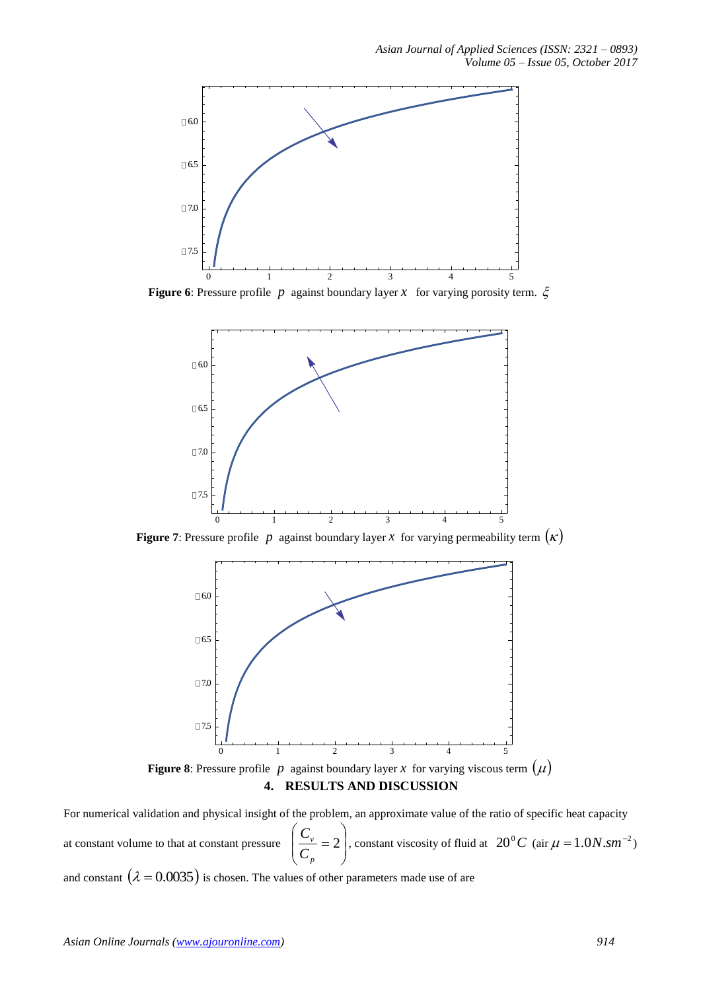

**Figure 6**: Pressure profile p against boundary layer x for varying porosity term.  $\xi$ 



**Figure 7**: Pressure profile p against boundary layer x for varying permeability term  $(\kappa)$ 



**4. RESULTS AND DISCUSSION**

For numerical validation and physical insight of the problem, an approximate value of the ratio of specific heat capacity at constant volume to that at constant pressure  $\overline{\phantom{a}}$  $\overline{\phantom{a}}$ J  $\backslash$  $\mathsf{I}$  $\mathsf{I}$  $\setminus$ ſ  $=2$ *p v C*  $\left(\frac{C_v}{C}\right)$  = 2, constant viscosity of fluid at 20<sup>°</sup>C (air  $\mu = 1.0 N . \text{s}m^{-2}$ ) and constant  $(\lambda = 0.0035)$  is chosen. The values of other parameters made use of are